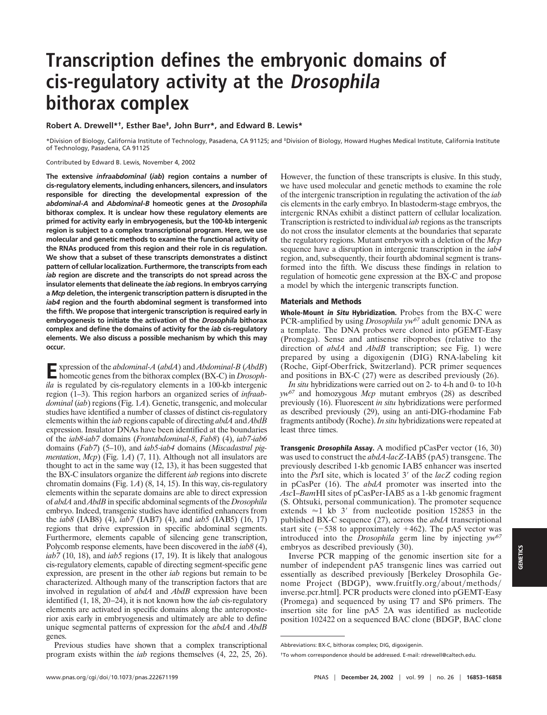## **Transcription defines the embryonic domains of cis-regulatory activity at the Drosophila bithorax complex**

**Robert A. Drewell\*†, Esther Bae‡, John Burr\*, and Edward B. Lewis\***

\*Division of Biology, California Institute of Technology, Pasadena, CA 91125; and ‡Division of Biology, Howard Hughes Medical Institute, California Institute of Technology, Pasadena, CA 91125

Contributed by Edward B. Lewis, November 4, 2002

**The extensive** *infraabdominal* **(***iab***) region contains a number of cis-regulatory elements, including enhancers, silencers, and insulators responsible for directing the developmental expression of the** *abdominal-A* **and** *Abdominal-B* **homeotic genes at the** *Drosophila* **bithorax complex. It is unclear how these regulatory elements are primed for activity early in embryogenesis, but the 100-kb intergenic region is subject to a complex transcriptional program. Here, we use molecular and genetic methods to examine the functional activity of the RNAs produced from this region and their role in cis regulation. We show that a subset of these transcripts demonstrates a distinct pattern of cellular localization. Furthermore, the transcripts from each** *iab* **region are discrete and the transcripts do not spread across the insulator elements that delineate the** *iab* **regions. In embryos carrying a** *Mcp* **deletion, the intergenic transcription pattern is disrupted in the** *iab4* **region and the fourth abdominal segment is transformed into the fifth. We propose that intergenic transcription is required early in embryogenesis to initiate the activation of the** *Drosophila* **bithorax complex and define the domains of activity for the** *iab* **cis-regulatory elements. We also discuss a possible mechanism by which this may occur.**

**E**xpression of the *abdominal-A* (*abdA*) and *Abdominal-B* (*AbdB*) homeotic genes from the bithorax complex (BX-C) in *Drosophila* is regulated by cis-regulatory elements in a 100-kb intergenic region (1–3). This region harbors an organized series of *infraabdominal* (*iab*) regions (Fig. 1*A*). Genetic, transgenic, and molecular studies have identified a number of classes of distinct cis-regulatory elements within the *iab* regions capable of directing *abdA* and *AbdB* expression. Insulator DNAs have been identified at the boundaries of the *iab8*-*iab7* domains (*Frontabdominal-8*, *Fab8*) (4), *iab7*-*iab6* domains (*Fab7*) (5–10), and *iab5*-*iab4* domains (*Miscadastral pigmentation, Mcp*) (Fig. 1*A*) (7, 11). Although not all insulators are thought to act in the same way (12, 13), it has been suggested that the BX-C insulators organize the different *iab* regions into discrete chromatin domains (Fig. 1*A*) (8, 14, 15). In this way, cis-regulatory elements within the separate domains are able to direct expression of *abdA* and *AbdB* in specific abdominal segments of the *Drosophila* embryo. Indeed, transgenic studies have identified enhancers from the *iab8* (IAB8) (4), *iab7* (IAB7) (4), and *iab5* (IAB5) (16, 17) regions that drive expression in specific abdominal segments. Furthermore, elements capable of silencing gene transcription, Polycomb response elements, have been discovered in the *iab8* (4), *iab7* (10, 18), and *iab5* regions (17, 19). It is likely that analogous cis-regulatory elements, capable of directing segment-specific gene expression, are present in the other *iab* regions but remain to be characterized. Although many of the transcription factors that are involved in regulation of *abdA* and *AbdB* expression have been identified (1, 18, 20–24), it is not known how the *iab* cis-regulatory elements are activated in specific domains along the anteroposterior axis early in embryogenesis and ultimately are able to define unique segmental patterns of expression for the *abdA* and *AbdB* genes.

Previous studies have shown that a complex transcriptional program exists within the *iab* regions themselves (4, 22, 25, 26). However, the function of these transcripts is elusive. In this study, we have used molecular and genetic methods to examine the role of the intergenic transcription in regulating the activation of the *iab* cis elements in the early embryo. In blastoderm-stage embryos, the intergenic RNAs exhibit a distinct pattern of cellular localization. Transcription is restricted to individual *iab* regions as the transcripts do not cross the insulator elements at the boundaries that separate the regulatory regions. Mutant embryos with a deletion of the *Mcp* sequence have a disruption in intergenic transcription in the *iab4* region, and, subsequently, their fourth abdominal segment is transformed into the fifth. We discuss these findings in relation to regulation of homeotic gene expression at the BX-C and propose a model by which the intergenic transcripts function.

## **Materials and Methods**

**Whole-Mount in Situ Hybridization.** Probes from the BX-C were PCR-amplified by using *Drosophila yw<sup>67</sup>* adult genomic DNA as a template. The DNA probes were cloned into pGEMT-Easy (Promega). Sense and antisense riboprobes (relative to the direction of *abdA* and *AbdB* transcription; see Fig. 1) were prepared by using a digoxigenin (DIG) RNA-labeling kit (Roche, Gipf-Oberfrick, Switzerland). PCR primer sequences and positions in BX-C (27) were as described previously (26).

*In situ* hybridizations were carried out on 2- to 4-h and 0- to 10-h *yw67* and homozygous *Mcp* mutant embryos (28) as described previously (16). Fluorescent *in situ* hybridizations were performed as described previously (29), using an anti-DIG-rhodamine Fab fragments antibody (Roche).*In situ* hybridizations were repeated at least three times.

**Transgenic Drosophila Assay.** A modified pCasPer vector (16, 30) was used to construct the *abdA*-*lacZ*-IAB5 (pA5) transgene. The previously described 1-kb genomic IAB5 enhancer was inserted into the *PstI* site, which is located 3' of the *lacZ* coding region in pCasPer (16). The *abdA* promoter was inserted into the *Asc*I–*Bam*HI sites of pCasPer-IAB5 as a 1-kb genomic fragment (S. Ohtsuki, personal communication). The promoter sequence extends  $\approx$ 1 kb 3' from nucleotide position 152853 in the published BX-C sequence (27), across the *abdA* transcriptional start site  $(-538$  to approximately  $+462$ ). The pA5 vector was introduced into the *Drosophila* germ line by injecting *yw<sup>67</sup>* embryos as described previously (30).

Inverse PCR mapping of the genomic insertion site for a number of independent pA5 transgenic lines was carried out essentially as described previously [Berkeley Drosophila Genome Project (BDGP), www.fruitfly.org/about/methods/ inverse.pcr.html]. PCR products were cloned into pGEMT-Easy (Promega) and sequenced by using T7 and SP6 primers. The insertion site for line pA5 2A was identified as nucleotide position 102422 on a sequenced BAC clone (BDGP, BAC clone

Abbreviations: BX-C, bithorax complex; DIG, digoxigenin.

<sup>†</sup>To whom correspondence should be addressed. E-mail: rdrewell@caltech.edu.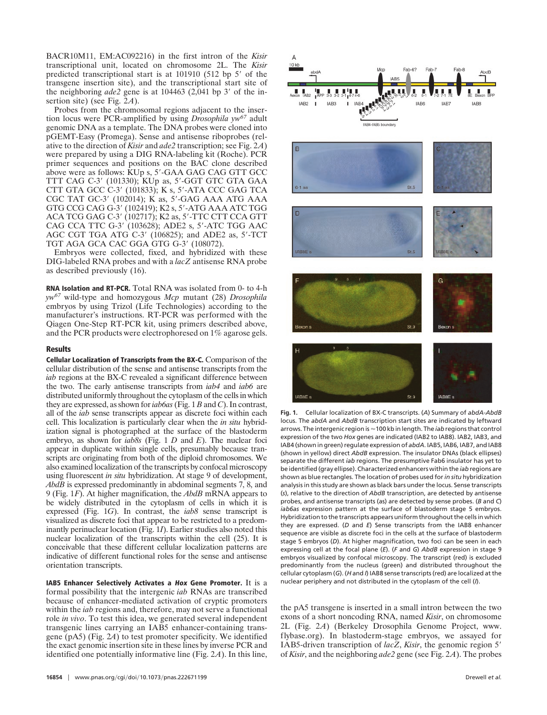BACR10M11, EM:AC092216) in the first intron of the *Kisir* transcriptional unit, located on chromosome 2L. The *Kisir* predicted transcriptional start is at  $101910$  (512 bp 5' of the transgene insertion site), and the transcriptional start site of the neighboring  $ade2$  gene is at  $104463$  ( $2,041$  bp  $3'$  of the insertion site) (see Fig. 2*A*).

Probes from the chromosomal regions adjacent to the insertion locus were PCR-amplified by using *Drosophila yw<sup>67</sup>* adult genomic DNA as a template. The DNA probes were cloned into pGEMT-Easy (Promega). Sense and antisense riboprobes (relative to the direction of *Kisir* and *ade2* transcription; see Fig. 2*A*) were prepared by using a DIG RNA-labeling kit (Roche). PCR primer sequences and positions on the BAC clone described above were as follows: KUp s, 5-GAA GAG CAG GTT GCC TTT CAG C-3 (101330); KUp as, 5-GGT GTC GTA GAA CTT GTA GCC C-3 (101833); K s, 5-ATA CCC GAG TCA CGC TAT GC-3' (102014); K as, 5'-GAG AAA ATG AAA GTG CCG CAG G-3 (102419); K2 s, 5-ATG AAA ATC TGG ACA TCG GAG C-3' (102717); K2 as, 5'-TTC CTT CCA GTT CAG CCA TTC G-3' (103628); ADE2 s, 5'-ATC TGG AAC AGC CGT TGA ATG C-3' (106825); and ADE2 as, 5'-TCT TGT AGA GCA CAC GGA GTG G-3' (108072).

Embryos were collected, fixed, and hybridized with these DIG-labeled RNA probes and with a *lacZ* antisense RNA probe as described previously (16).

**RNA Isolation and RT-PCR.** Total RNA was isolated from 0- to 4-h *yw<sup>67</sup>* wild-type and homozygous *Mcp* mutant (28) *Drosophila* embryos by using Trizol (Life Technologies) according to the manufacturer's instructions. RT-PCR was performed with the Qiagen One-Step RT-PCR kit, using primers described above, and the PCR products were electrophoresed on 1% agarose gels.

## **Results**

**Cellular Localization of Transcripts from the BX-C.** Comparison of the cellular distribution of the sense and antisense transcripts from the *iab* regions at the BX-C revealed a significant difference between the two. The early antisense transcripts from *iab4* and *iab6* are distributed uniformly throughout the cytoplasm of the cells in which they are expressed, as shown for*iab6as*(Fig. 1 *B* and *C*). In contrast, all of the *iab* sense transcripts appear as discrete foci within each cell. This localization is particularly clear when the *in situ* hybridization signal is photographed at the surface of the blastoderm embryo, as shown for *iab8s* (Fig. 1 *D* and *E*). The nuclear foci appear in duplicate within single cells, presumably because transcripts are originating from both of the diploid chromosomes. We also examined localization of the transcripts by confocal microscopy using fluorescent *in situ* hybridization. At stage 9 of development, *AbdB* is expressed predominantly in abdominal segments 7, 8, and 9 (Fig. 1*F*). At higher magnification, the *AbdB* mRNA appears to be widely distributed in the cytoplasm of cells in which it is expressed (Fig. 1*G*). In contrast, the *iab8* sense transcript is visualized as discrete foci that appear to be restricted to a predominantly perinuclear location (Fig. 1*I*). Earlier studies also noted this nuclear localization of the transcripts within the cell (25). It is conceivable that these different cellular localization patterns are indicative of different functional roles for the sense and antisense orientation transcripts.

**IAB5 Enhancer Selectively Activates a Hox Gene Promoter.** It is a formal possibility that the intergenic *iab* RNAs are transcribed because of enhancer-mediated activation of cryptic promoters within the *iab* regions and, therefore, may not serve a functional role *in vivo*. To test this idea, we generated several independent transgenic lines carrying an IAB5 enhancer-containing transgene (pA5) (Fig. 2*A*) to test promoter specificity. We identified the exact genomic insertion site in these lines by inverse PCR and identified one potentially informative line (Fig. 2*A*). In this line,



**Fig. 1.** Cellular localization of BX-C transcripts. (*A*) Summary of *abdA-AbdB* locus. The *abdA* and *AbdB* transcription start sites are indicated by leftward arrows. The intergenic region is  $\approx$  100 kb in length. The *iab* regions that control expression of the two *Hox* genes are indicated (IAB2 to IAB8). IAB2, IAB3, and IAB4 (shown in green) regulate expression of *abdA*. IAB5, IAB6, IAB7, and IAB8 (shown in yellow) direct *AbdB* expression. The insulator DNAs (black ellipses) separate the different *iab* regions. The presumptive Fab6 insulator has yet to be identified (gray ellipse). Characterized enhancers within the *iab* regions are shown as blue rectangles. The location of probes used for*in situ* hybridization analysis in this study are shown as black bars under the locus. Sense transcripts (*s*), relative to the direction of *AbdB* transcription, are detected by antisense probes, and antisense transcripts (as) are detected by sense probes. (*B* and *C*) *iab6as* expression pattern at the surface of blastoderm stage 5 embryos. Hybridization to the transcripts appears uniform throughout the cells in which they are expressed. (*D* and *E*) Sense transcripts from the IAB8 enhancer sequence are visible as discrete foci in the cells at the surface of blastoderm stage 5 embryos (*D*). At higher magnification, two foci can be seen in each expressing cell at the focal plane (*E*). (*F* and *G*) *AbdB* expression in stage 9 embryos visualized by confocal microscopy. The transcript (red) is excluded predominantly from the nucleus (green) and distributed throughout the cellular cytoplasm (*G*). (*H* and *I*) IAB8 sense transcripts (red) are localized at the nuclear periphery and not distributed in the cytoplasm of the cell (*I*).

the pA5 transgene is inserted in a small intron between the two exons of a short noncoding RNA, named *Kisir*, on chromosome 2L (Fig. 2*A*) (Berkeley Drosophila Genome Project, www. flybase.org). In blastoderm-stage embryos, we assayed for IAB5-driven transcription of *lacZ*, *Kisir*, the genomic region 5 of *Kisir*, and the neighboring *ade2* gene (see Fig. 2*A*). The probes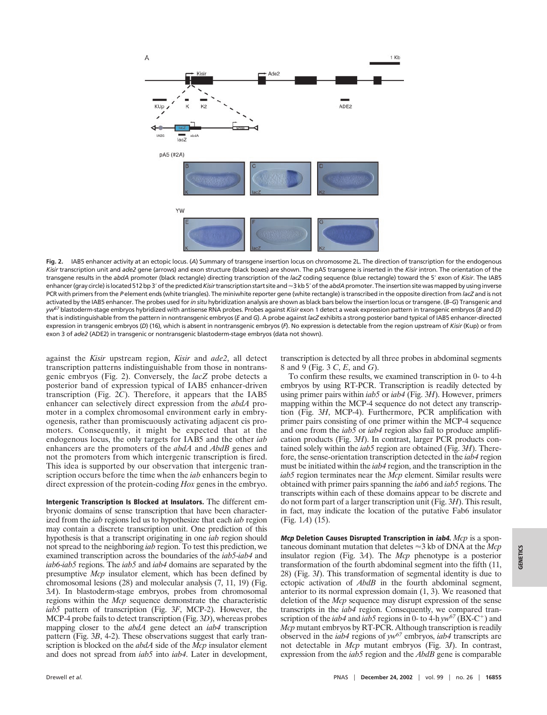

**Fig. 2.** IAB5 enhancer activity at an ectopic locus. (*A*) Summary of transgene insertion locus on chromosome 2L. The direction of transcription for the endogenous *Kisir* transcription unit and *ade2* gene (arrows) and exon structure (black boxes) are shown. The pA5 transgene is inserted in the *Kisir* intron. The orientation of the transgene results in the *abdA* promoter (black rectangle) directing transcription of the *lacZ* coding sequence (blue rectangle) toward the 5 exon of *Kisir*. The IAB5 enhancer (gray circle) is located 512 bp 3' of the predicted *Kisir* transcription start site and ≈3 kb 5' of the a*bdA* promoter. The insertion site was mapped by using inverse PCR with primers from the *P* element ends (white triangles). The miniwhite reporter gene (white rectangle) is transcribed in the opposite direction from *lacZ* and is not activated by the IAB5 enhancer. The probes used for*in situ* hybridization analysis are shown as black bars below the insertion locus or transgene. (*B*–*G*) Transgenic and *yw67* blastoderm-stage embryos hybridized with antisense RNA probes. Probes against *Kisir* exon 1 detect a weak expression pattern in transgenic embryos (*B* and *D*) that is indistinguishable from the pattern in nontransgenic embryos (*E* and *G*). A probe against*lacZ* exhibits a strong posterior band typical of IAB5 enhancer-directed expression in transgenic embryos (*D*) (16), which is absent in nontransgenic embryos (*F*). No expression is detectable from the region upstream of *Kisir* (Kup) or from exon 3 of *ade2* (ADE2) in transgenic or nontransgenic blastoderm-stage embryos (data not shown).

against the *Kisir* upstream region, *Kisir* and *ade2*, all detect transcription patterns indistinguishable from those in nontransgenic embryos (Fig. 2). Conversely, the *lacZ* probe detects a posterior band of expression typical of IAB5 enhancer-driven transcription (Fig. 2*C*). Therefore, it appears that the IAB5 enhancer can selectively direct expression from the *abdA* promoter in a complex chromosomal environment early in embryogenesis, rather than promiscuously activating adjacent cis promoters. Consequently, it might be expected that at the endogenous locus, the only targets for IAB5 and the other *iab* enhancers are the promoters of the *abdA* and *AbdB* genes and not the promoters from which intergenic transcription is fired. This idea is supported by our observation that intergenic transcription occurs before the time when the *iab* enhancers begin to direct expression of the protein-coding *Hox* genes in the embryo.

**Intergenic Transcription Is Blocked at Insulators.** The different embryonic domains of sense transcription that have been characterized from the *iab* regions led us to hypothesize that each *iab* region may contain a discrete transcription unit. One prediction of this hypothesis is that a transcript originating in one *iab* region should not spread to the neighboring *iab* region. To test this prediction, we examined transcription across the boundaries of the *iab5*-*iab4* and *iab6*-*iab5* regions. The *iab5* and *iab4* domains are separated by the presumptive *Mcp* insulator element, which has been defined by chromosomal lesions (28) and molecular analysis (7, 11, 19) (Fig. 3*A*). In blastoderm-stage embryos, probes from chromosomal regions within the *Mcp* sequence demonstrate the characteristic *iab5* pattern of transcription (Fig. 3*F*, MCP-2). However, the MCP-4 probe fails to detect transcription (Fig. 3*D*), whereas probes mapping closer to the *abdA* gene detect an *iab4* transcription pattern (Fig. 3*B*, 4-2). These observations suggest that early transcription is blocked on the *abdA* side of the *Mcp* insulator element and does not spread from *iab5* into *iab4*. Later in development,

transcription is detected by all three probes in abdominal segments 8 and 9 (Fig. 3 *C*, *E*, and *G*).

To confirm these results, we examined transcription in 0- to 4-h embryos by using RT-PCR. Transcription is readily detected by using primer pairs within *iab5* or *iab4* (Fig. 3*H*). However, primers mapping within the MCP-4 sequence do not detect any transcription (Fig. 3*H*, MCP-4). Furthermore, PCR amplification with primer pairs consisting of one primer within the MCP-4 sequence and one from the *iab5* or *iab4* region also fail to produce amplification products (Fig. 3*H*). In contrast, larger PCR products contained solely within the *iab5* region are obtained (Fig. 3*H*). Therefore, the sense-orientation transcription detected in the *iab4* region must be initiated within the *iab4* region, and the transcription in the *iab5* region terminates near the *Mcp* element. Similar results were obtained with primer pairs spanning the *iab6* and *iab5* regions. The transcripts within each of these domains appear to be discrete and do not form part of a larger transcription unit (Fig. 3*H*). This result, in fact, may indicate the location of the putative Fab6 insulator (Fig. 1*A*) (15).

**Mcp Deletion Causes Disrupted Transcription in iab4.** *Mcp* is a spontaneous dominant mutation that deletes  $\approx$  3 kb of DNA at the *Mcp* insulator region (Fig. 3*A*). The *Mcp* phenotype is a posterior transformation of the fourth abdominal segment into the fifth (11, 28) (Fig. 3*I*). This transformation of segmental identity is due to ectopic activation of *AbdB* in the fourth abdominal segment, anterior to its normal expression domain (1, 3). We reasoned that deletion of the *Mcp* sequence may disrupt expression of the sense transcripts in the *iab4* region. Consequently, we compared transcription of the *iab4* and *iab5* regions in 0- to 4-h  $yw^{67}$  (BX-C<sup>+</sup>) and *Mcp* mutant embryos by RT-PCR. Although transcription is readily observed in the *iab4* regions of *yw67* embryos, *iab4* transcripts are not detectable in *Mcp* mutant embryos (Fig. 3*J*). In contrast, expression from the *iab5* region and the *AbdB* gene is comparable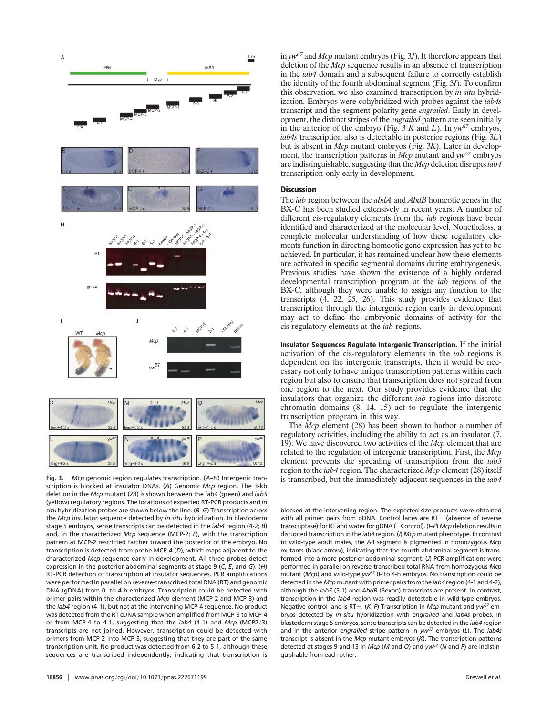

**Fig. 3.** *Mcp* genomic region regulates transcription. (*A*–*H*) Intergenic transcription is blocked at insulator DNAs. (*A*) Genomic *Mcp* region. The 3-kb deletion in the *Mcp* mutant (28) is shown between the *iab4* (green) and *iab5* (yellow) regulatory regions. The locations of expected RT-PCR products and *in situ* hybridization probes are shown below the line. (*B*–*G*) Transcription across the *Mcp* insulator sequence detected by *in situ* hybridization. In blastoderm stage 5 embryos, sense transcripts can be detected in the *iab4* region (4-2; *B*) and, in the characterized *Mcp* sequence (MCP-2; *F*), with the transcription pattern at MCP-2 restricted farther toward the posterior of the embryo. No transcription is detected from probe MCP-4 (*D*), which maps adjacent to the characterized *Mcp* sequence early in development. All three probes detect expression in the posterior abdominal segments at stage 9 (*C*, *E*, and *G*). (*H*) RT-PCR detection of transcription at insulator sequences. PCR amplifications were performed in parallel on reverse-transcribed total RNA (RT) and genomic DNA (gDNA) from 0- to 4-h embryos. Transcription could be detected with primer pairs within the characterized *Mcp* element (MCP-2 and MCP-3) and the *iab4* region (4-1), but not at the intervening MCP-4 sequence. No product was detected from the RT cDNA sample when amplified from MCP-3 to MCP-4 or from MCP-4 to 4-1, suggesting that the *iab4* (4-1) and *Mcp* (MCP2/3) transcripts are not joined. However, transcription could be detected with primers from MCP-2 into MCP-3, suggesting that they are part of the same transcription unit. No product was detected from 6-2 to 5-1, although these sequences are transcribed independently, indicating that transcription is

in *yw67* and *Mcp* mutant embryos (Fig. 3*J*). It therefore appears that deletion of the *Mcp* sequence results in an absence of transcription in the *iab4* domain and a subsequent failure to correctly establish the identity of the fourth abdominal segment (Fig. 3*I*). To confirm this observation, we also examined transcription by *in situ* hybridization. Embryos were cohybridized with probes against the *iab4s* transcript and the segment polarity gene *engrailed*. Early in development, the distinct stripes of the *engrailed* pattern are seen initially in the anterior of the embryo (Fig. 3 *K* and *L*). In *yw67* embryos, *iab4s* transcription also is detectable in posterior regions (Fig. 3*L*) but is absent in *Mcp* mutant embryos (Fig. 3*K*). Later in development, the transcription patterns in *Mcp* mutant and *yw67* embryos are indistinguishable, suggesting that the *Mcp* deletion disrupts*iab4* transcription only early in development.

## **Discussion**

The *iab* region between the *abdA* and *AbdB* homeotic genes in the BX-C has been studied extensively in recent years. A number of different cis-regulatory elements from the *iab* regions have been identified and characterized at the molecular level. Nonetheless, a complete molecular understanding of how these regulatory elements function in directing homeotic gene expression has yet to be achieved. In particular, it has remained unclear how these elements are activated in specific segmental domains during embryogenesis. Previous studies have shown the existence of a highly ordered developmental transcription program at the *iab* regions of the BX-C, although they were unable to assign any function to the transcripts (4, 22, 25, 26). This study provides evidence that transcription through the intergenic region early in development may act to define the embryonic domains of activity for the cis-regulatory elements at the *iab* regions.

**Insulator Sequences Regulate Intergenic Transcription.** If the initial activation of the cis-regulatory elements in the *iab* regions is dependent on the intergenic transcripts, then it would be necessary not only to have unique transcription patterns within each region but also to ensure that transcription does not spread from one region to the next. Our study provides evidence that the insulators that organize the different *iab* regions into discrete chromatin domains (8, 14, 15) act to regulate the intergenic transcription program in this way.

The *Mcp* element (28) has been shown to harbor a number of regulatory activities, including the ability to act as an insulator (7, 19). We have discovered two activities of the *Mcp* element that are related to the regulation of intergenic transcription. First, the *Mcp* element prevents the spreading of transcription from the *iab5* region to the *iab4* region. The characterized *Mcp* element (28) itself is transcribed, but the immediately adjacent sequences in the *iab4*

blocked at the intervening region. The expected size products were obtained with all primer pairs from gDNA. Control lanes are  $RT-$  (absence of reverse transcriptase) for RT and water for gDNA (-Control). (*I-P*) *Mcp* deletion results in disrupted transcription in the *iab4* region. (*I*) *Mcp* mutant phenotype. In contrast to wild-type adult males, the A4 segment is pigmented in homozygous *Mcp* mutants (black arrow), indicating that the fourth abdominal segment is transformed into a more posterior abdominal segment. (*J*) PCR amplifications were performed in parallel on reverse-transcribed total RNA from homozygous *Mcp* mutant (*Mcp*) and wild-type *yw67* 0- to 4-h embryos. No transcription could be detected in the *Mcp* mutant with primer pairs from the *iab4* region (4-1 and 4-2), although the *iab5* (5-1) and *AbdB* (Bexon) transcripts are present. In contrast, transcription in the *iab4* region was readily detectable in wild-type embryos. Negative control lane is RT-. (*K-P*) Transcription in *Mcp* mutant and  $yw^{67}$  embryos detected by *in situ* hybridization with *engrailed* and *iab4s* probes. In blastoderm stage 5 embryos, sense transcripts can be detected in the *iab4* region and in the anterior *engrailed* stripe pattern in *yw67* embryos (*L*). The *iab4s* transcript is absent in the *Mcp* mutant embryos (*K*). The transcription patterns detected at stages 9 and 13 in *Mcp* (*M* and *O*) and *yw67* (*N* and *P*) are indistinguishable from each other.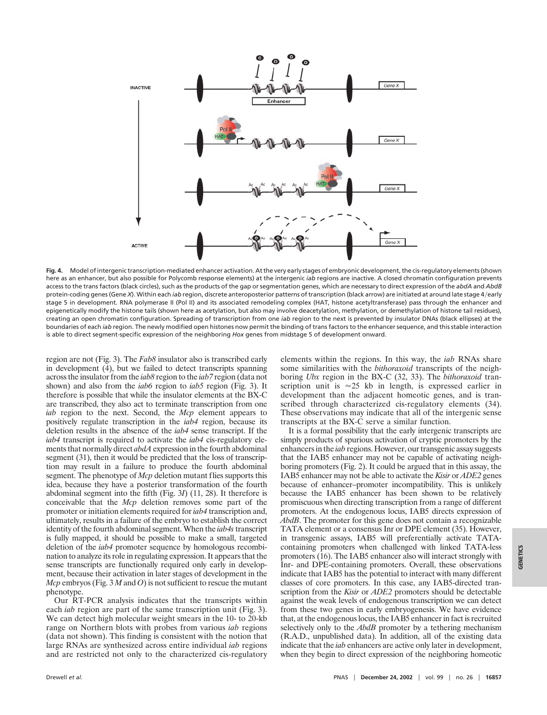

**Fig. 4.** Model of intergenic transcription-mediated enhancer activation. At the very early stages of embryonic development, the cis-regulatory elements (shown here as an enhancer, but also possible for Polycomb response elements) at the intergenic *iab* regions are inactive. A closed chromatin configuration prevents access to the trans factors (black circles), such as the products of the gap or segmentation genes, which are necessary to direct expression of the *abdA* and *AbdB* protein-coding genes (Gene *X*). Within each *iab* region, discrete anteroposterior patterns of transcription (black arrow) are initiated at around late stage 4/early stage 5 in development. RNA polymerase II (Pol II) and its associated remodeling complex (HAT, histone acetyltransferase) pass through the enhancer and epigenetically modify the histone tails (shown here as acetylation, but also may involve deacetylation, methylation, or demethylation of histone tail residues), creating an open chromatin configuration. Spreading of transcription from one *iab* region to the next is prevented by insulator DNAs (black ellipses) at the boundaries of each *iab* region. The newly modified open histones now permit the binding of trans factors to the enhancer sequence, and this stable interaction is able to direct segment-specific expression of the neighboring *Hox* genes from midstage 5 of development onward.

region are not (Fig. 3). The *Fab8* insulator also is transcribed early in development (4), but we failed to detect transcripts spanning across the insulator from the *iab8* region to the *iab7* region (data not shown) and also from the *iab6* region to *iab5* region (Fig. 3). It therefore is possible that while the insulator elements at the BX-C are transcribed, they also act to terminate transcription from one *iab* region to the next. Second, the *Mcp* element appears to positively regulate transcription in the *iab4* region, because its deletion results in the absence of the *iab4* sense transcript. If the *iab4* transcript is required to activate the *iab4* cis-regulatory elements that normally direct *abdA* expression in the fourth abdominal segment (31), then it would be predicted that the loss of transcription may result in a failure to produce the fourth abdominal segment. The phenotype of *Mcp* deletion mutant flies supports this idea, because they have a posterior transformation of the fourth abdominal segment into the fifth (Fig. 3*I*) (11, 28). It therefore is conceivable that the *Mcp* deletion removes some part of the promoter or initiation elements required for *iab4* transcription and, ultimately, results in a failure of the embryo to establish the correct identity of the fourth abdominal segment. When the *iab4s*transcript is fully mapped, it should be possible to make a small, targeted deletion of the *iab4* promoter sequence by homologous recombination to analyze its role in regulating expression. It appears that the sense transcripts are functionally required only early in development, because their activation in later stages of development in the *Mcp* embryos (Fig. 3 *M* and *O*) is not sufficient to rescue the mutant phenotype.

Our RT-PCR analysis indicates that the transcripts within each *iab* region are part of the same transcription unit (Fig. 3). We can detect high molecular weight smears in the 10- to 20-kb range on Northern blots with probes from various *iab* regions (data not shown). This finding is consistent with the notion that large RNAs are synthesized across entire individual *iab* regions and are restricted not only to the characterized cis-regulatory

elements within the regions. In this way, the *iab* RNAs share some similarities with the *bithoraxoid* transcripts of the neighboring *Ubx* region in the BX-C (32, 33). The *bithoraxoid* transcription unit is  $\approx 25$  kb in length, is expressed earlier in development than the adjacent homeotic genes, and is transcribed through characterized cis-regulatory elements (34). These observations may indicate that all of the intergenic sense transcripts at the BX-C serve a similar function.

It is a formal possibility that the early intergenic transcripts are simply products of spurious activation of cryptic promoters by the enhancers in the *iab* regions. However, our transgenic assay suggests that the IAB5 enhancer may not be capable of activating neighboring promoters (Fig. 2). It could be argued that in this assay, the IAB5 enhancer may not be able to activate the *Kisir* or *ADE2* genes because of enhancer–promoter incompatibility. This is unlikely because the IAB5 enhancer has been shown to be relatively promiscuous when directing transcription from a range of different promoters. At the endogenous locus, IAB5 directs expression of *AbdB*. The promoter for this gene does not contain a recognizable TATA element or a consensus Inr or DPE element (35). However, in transgenic assays, IAB5 will preferentially activate TATAcontaining promoters when challenged with linked TATA-less promoters (16). The IAB5 enhancer also will interact strongly with Inr- and DPE-containing promoters. Overall, these observations indicate that IAB5 has the potential to interact with many different classes of core promoters. In this case, any IAB5-directed transcription from the *Kisir* or *ADE2* promoters should be detectable against the weak levels of endogenous transcription we can detect from these two genes in early embryogenesis. We have evidence that, at the endogenous locus, the IAB5 enhancer in fact is recruited selectively only to the *AbdB* promoter by a tethering mechanism (R.A.D., unpublished data). In addition, all of the existing data indicate that the *iab* enhancers are active only later in development, when they begin to direct expression of the neighboring homeotic